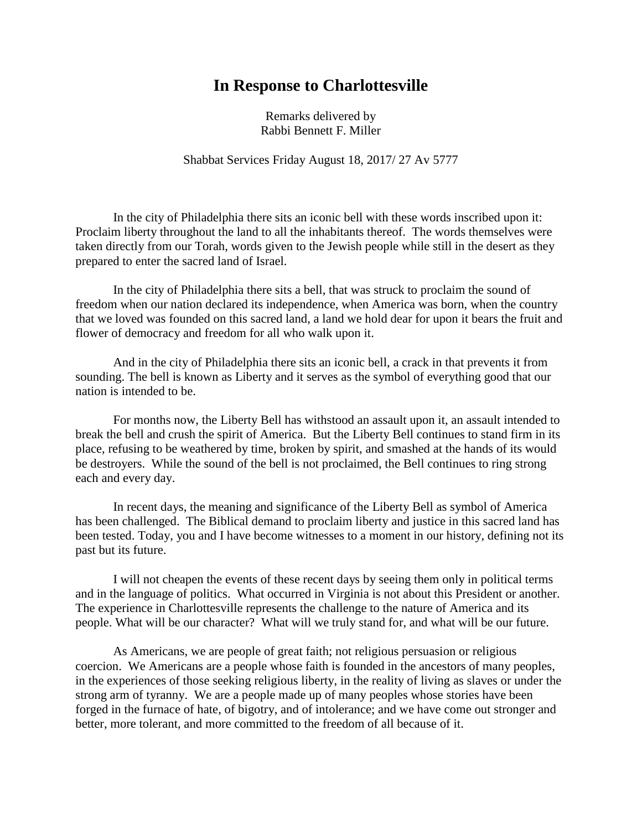## **In Response to Charlottesville**

Remarks delivered by Rabbi Bennett F. Miller

Shabbat Services Friday August 18, 2017/ 27 Av 5777

In the city of Philadelphia there sits an iconic bell with these words inscribed upon it: Proclaim liberty throughout the land to all the inhabitants thereof. The words themselves were taken directly from our Torah, words given to the Jewish people while still in the desert as they prepared to enter the sacred land of Israel.

In the city of Philadelphia there sits a bell, that was struck to proclaim the sound of freedom when our nation declared its independence, when America was born, when the country that we loved was founded on this sacred land, a land we hold dear for upon it bears the fruit and flower of democracy and freedom for all who walk upon it.

And in the city of Philadelphia there sits an iconic bell, a crack in that prevents it from sounding. The bell is known as Liberty and it serves as the symbol of everything good that our nation is intended to be.

For months now, the Liberty Bell has withstood an assault upon it, an assault intended to break the bell and crush the spirit of America. But the Liberty Bell continues to stand firm in its place, refusing to be weathered by time, broken by spirit, and smashed at the hands of its would be destroyers. While the sound of the bell is not proclaimed, the Bell continues to ring strong each and every day.

In recent days, the meaning and significance of the Liberty Bell as symbol of America has been challenged. The Biblical demand to proclaim liberty and justice in this sacred land has been tested. Today, you and I have become witnesses to a moment in our history, defining not its past but its future.

I will not cheapen the events of these recent days by seeing them only in political terms and in the language of politics. What occurred in Virginia is not about this President or another. The experience in Charlottesville represents the challenge to the nature of America and its people. What will be our character? What will we truly stand for, and what will be our future.

As Americans, we are people of great faith; not religious persuasion or religious coercion. We Americans are a people whose faith is founded in the ancestors of many peoples, in the experiences of those seeking religious liberty, in the reality of living as slaves or under the strong arm of tyranny. We are a people made up of many peoples whose stories have been forged in the furnace of hate, of bigotry, and of intolerance; and we have come out stronger and better, more tolerant, and more committed to the freedom of all because of it.